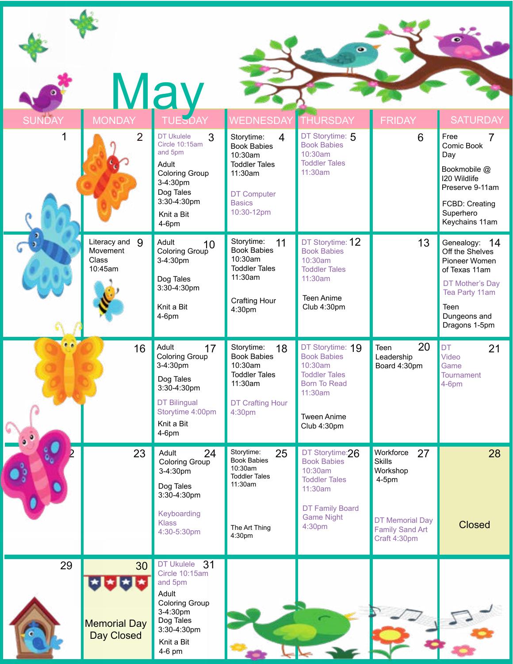|               |                                                   | <b>May</b>                                                                                                                                              |                                                                                                                                                       |                                                                                                                                              |                                                                                                                              |                                                                                                                                                         |
|---------------|---------------------------------------------------|---------------------------------------------------------------------------------------------------------------------------------------------------------|-------------------------------------------------------------------------------------------------------------------------------------------------------|----------------------------------------------------------------------------------------------------------------------------------------------|------------------------------------------------------------------------------------------------------------------------------|---------------------------------------------------------------------------------------------------------------------------------------------------------|
| <b>SUNDAY</b> | <b>MONDAY</b>                                     | <b>TUESDAY</b>                                                                                                                                          | <b>VEDNESDAY</b>                                                                                                                                      | <b>THURSDAY</b>                                                                                                                              | <b>FRIDAY</b>                                                                                                                | <b>SATURDAY</b>                                                                                                                                         |
| 1             | $\overline{2}$                                    | 3<br><b>DT Ukulele</b><br>Circle 10:15am<br>and 5pm<br>Adult<br><b>Coloring Group</b><br>3-4:30pm<br>Dog Tales<br>3:30-4:30pm<br>Knit a Bit<br>$4-6$ pm | $\overline{4}$<br>Storytime:<br><b>Book Babies</b><br>10:30am<br><b>Toddler Tales</b><br>11:30am<br><b>DT Computer</b><br><b>Basics</b><br>10:30-12pm | DT Storytime: 5<br><b>Book Babies</b><br>10:30am<br><b>Toddler Tales</b><br>11:30am                                                          | 6                                                                                                                            | Free<br>7<br>Comic Book<br>Day<br>Bookmobile @<br><b>I20 Wildlife</b><br>Preserve 9-11am<br>FCBD: Creating<br>Superhero<br>Keychains 11am               |
|               | Literacy and<br>9<br>Movement<br>Class<br>10:45am | Adult<br>10 <sup>1</sup><br>Coloring Group<br>3-4:30pm<br>Dog Tales<br>3:30-4:30pm<br>Knit a Bit<br>$4-6$ pm                                            | Storytime:<br>11<br><b>Book Babies</b><br>10:30am<br><b>Toddler Tales</b><br>11:30am<br><b>Crafting Hour</b><br>4:30pm                                | DT Storytime: 12<br><b>Book Babies</b><br>10:30am<br><b>Toddler Tales</b><br>11:30am<br>Teen Anime<br>Club 4:30pm                            | 13                                                                                                                           | Genealogy: 14<br>Off the Shelves<br>Pioneer Women<br>of Texas 11am<br>DT Mother's Day<br>Tea Party 11am<br><b>Teen</b><br>Dungeons and<br>Dragons 1-5pm |
|               | 16                                                | Adult<br>17<br>Coloring Group<br>3-4:30pm                                                                                                               | Storytime:<br>18<br><b>Book Babies</b><br>10:30am<br><b>Toddler Tales</b>                                                                             | DT Storytime: 19<br><b>Book Babies</b><br>10:30am                                                                                            | 20<br><b>Teen</b><br>Leadership<br>Board 4:30pm                                                                              | <b>DT</b><br>21<br>Video<br>Game                                                                                                                        |
|               |                                                   | Dog Tales<br>3:30-4:30pm<br><b>DT Bilingual</b><br>Storytime 4:00pm<br>Knit a Bit<br>$4-6$ pm                                                           | 11:30am<br><b>DT Crafting Hour</b><br>4:30pm                                                                                                          | <b>Toddler Tales</b><br><b>Born To Read</b><br>11:30am<br><b>Tween Anime</b><br>Club 4:30pm                                                  |                                                                                                                              | <b>Tournament</b><br>$4-6$ pm                                                                                                                           |
|               | 23                                                | Adult<br>24<br><b>Coloring Group</b><br>3-4:30pm<br>Dog Tales<br>3:30-4:30pm<br>Keyboarding<br><b>Klass</b><br>4:30-5:30pm                              | Storytime:<br>25<br><b>Book Babies</b><br>10:30am<br><b>Toddler Tales</b><br>11:30am<br>The Art Thing<br>4:30pm                                       | DT Storytime:26<br><b>Book Babies</b><br>10:30am<br><b>Toddler Tales</b><br>11:30am<br><b>DT Family Board</b><br><b>Game Night</b><br>4:30pm | Workforce<br>27<br><b>Skills</b><br>Workshop<br>$4-5$ pm<br><b>DT Memorial Day</b><br><b>Family Sand Art</b><br>Craft 4:30pm | 28<br><b>Closed</b>                                                                                                                                     |